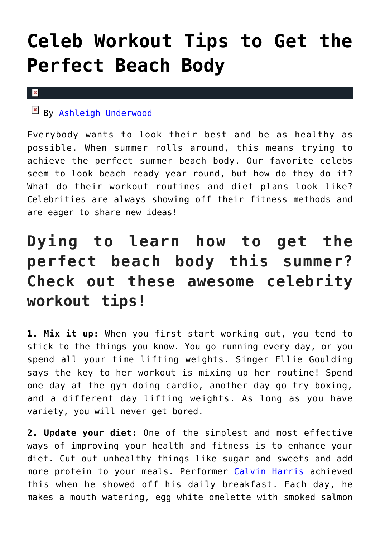## **[Celeb Workout Tips to Get the](https://cupidspulse.com/121093/celeb-workout-tips-perfect-beach-body/) [Perfect Beach Body](https://cupidspulse.com/121093/celeb-workout-tips-perfect-beach-body/)**

## $\pmb{\times}$

## By [Ashleigh Underwood](http://cupidspulse.com/120629/ashleigh-underwood/)

Everybody wants to look their best and be as healthy as possible. When summer rolls around, this means trying to achieve the perfect summer beach body. Our favorite celebs seem to look beach ready year round, but how do they do it? What do their workout routines and diet plans look like? Celebrities are always showing off their fitness methods and are eager to share new ideas!

## **Dying to learn how to get the perfect beach body this summer? Check out these awesome celebrity workout tips!**

**1. Mix it up:** When you first start working out, you tend to stick to the things you know. You go running every day, or you spend all your time lifting weights. Singer Ellie Goulding says the key to her workout is mixing up her routine! Spend one day at the gym doing cardio, another day go try boxing, and a different day lifting weights. As long as you have variety, you will never get bored.

**2. Update your diet:** One of the simplest and most effective ways of improving your health and fitness is to enhance your diet. Cut out unhealthy things like sugar and sweets and add more protein to your meals. Performer [Calvin Harris](http://cupidspulse.com/110443/calvin-harris/) achieved this when he showed off his daily breakfast. Each day, he makes a mouth watering, egg white omelette with smoked salmon